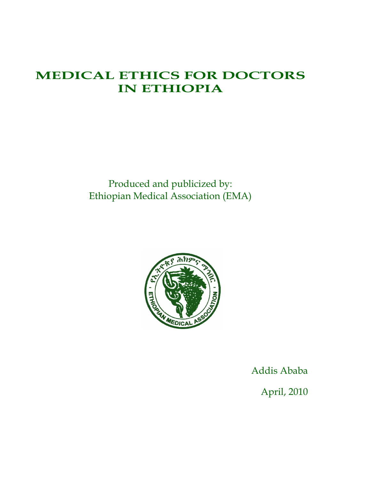# **MEDICAL ETHICS FOR DOCTORS IN ETHIOPIA**

Produced and publicized by: Ethiopian Medical Association (EMA)



Addis Ababa

April, 2010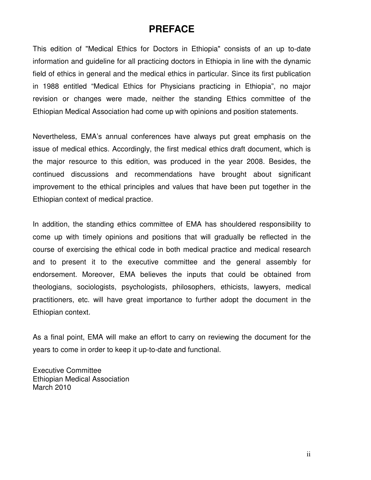### **PREFACE**

This edition of "Medical Ethics for Doctors in Ethiopia" consists of an up to-date information and guideline for all practicing doctors in Ethiopia in line with the dynamic field of ethics in general and the medical ethics in particular. Since its first publication in 1988 entitled "Medical Ethics for Physicians practicing in Ethiopia", no major revision or changes were made, neither the standing Ethics committee of the Ethiopian Medical Association had come up with opinions and position statements.

Nevertheless, EMA's annual conferences have always put great emphasis on the issue of medical ethics. Accordingly, the first medical ethics draft document, which is the major resource to this edition, was produced in the year 2008. Besides, the continued discussions and recommendations have brought about significant improvement to the ethical principles and values that have been put together in the Ethiopian context of medical practice.

In addition, the standing ethics committee of EMA has shouldered responsibility to come up with timely opinions and positions that will gradually be reflected in the course of exercising the ethical code in both medical practice and medical research and to present it to the executive committee and the general assembly for endorsement. Moreover, EMA believes the inputs that could be obtained from theologians, sociologists, psychologists, philosophers, ethicists, lawyers, medical practitioners, etc. will have great importance to further adopt the document in the Ethiopian context.

As a final point, EMA will make an effort to carry on reviewing the document for the years to come in order to keep it up-to-date and functional.

Executive Committee Ethiopian Medical Association March 2010

ii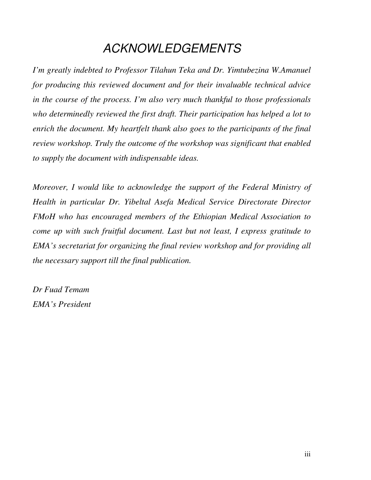# ACKNOWLEDGEMENTS

*I'm greatly indebted to Professor Tilahun Teka and Dr. Yimtubezina W.Amanuel for producing this reviewed document and for their invaluable technical advice in the course of the process. I'm also very much thankful to those professionals who determinedly reviewed the first draft. Their participation has helped a lot to enrich the document. My heartfelt thank also goes to the participants of the final review workshop. Truly the outcome of the workshop was significant that enabled to supply the document with indispensable ideas.* 

*Moreover, I would like to acknowledge the support of the Federal Ministry of Health in particular Dr. Yibeltal Asefa Medical Service Directorate Director FMoH who has encouraged members of the Ethiopian Medical Association to come up with such fruitful document. Last but not least, I express gratitude to EMA's secretariat for organizing the final review workshop and for providing all the necessary support till the final publication.* 

*Dr Fuad Temam EMA's President*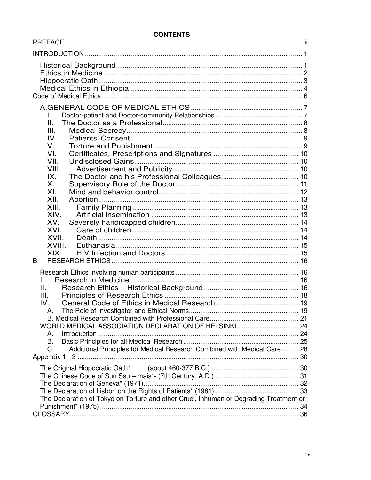#### **CONTENTS**

| PREFACE.                                                                               |  |
|----------------------------------------------------------------------------------------|--|
|                                                                                        |  |
|                                                                                        |  |
|                                                                                        |  |
|                                                                                        |  |
|                                                                                        |  |
|                                                                                        |  |
|                                                                                        |  |
| L.                                                                                     |  |
| II.                                                                                    |  |
| III.                                                                                   |  |
| $IV_{-}$                                                                               |  |
| V.                                                                                     |  |
| VI.                                                                                    |  |
| VII.                                                                                   |  |
| VIII.                                                                                  |  |
| IX.                                                                                    |  |
| Х.                                                                                     |  |
| XL                                                                                     |  |
| XII.                                                                                   |  |
| XIII.                                                                                  |  |
| XIV.                                                                                   |  |
| XV.                                                                                    |  |
| XVI.                                                                                   |  |
| XVII.                                                                                  |  |
| XVIII.                                                                                 |  |
| XIX.                                                                                   |  |
| В.                                                                                     |  |
|                                                                                        |  |
| L.                                                                                     |  |
| Н.                                                                                     |  |
| Ш.                                                                                     |  |
| IV.                                                                                    |  |
|                                                                                        |  |
|                                                                                        |  |
| WORLD MEDICAL ASSOCIATION DECLARATION OF HELSINKI 24                                   |  |
| А.                                                                                     |  |
| В.                                                                                     |  |
| Additional Principles for Medical Research Combined with Medical Care 28<br>C.         |  |
|                                                                                        |  |
|                                                                                        |  |
|                                                                                        |  |
|                                                                                        |  |
|                                                                                        |  |
|                                                                                        |  |
| The Declaration of Tokyo on Torture and other Cruel, Inhuman or Degrading Treatment or |  |
| Punishment* (1975) …………………………………………………………………………………………… 34                              |  |
|                                                                                        |  |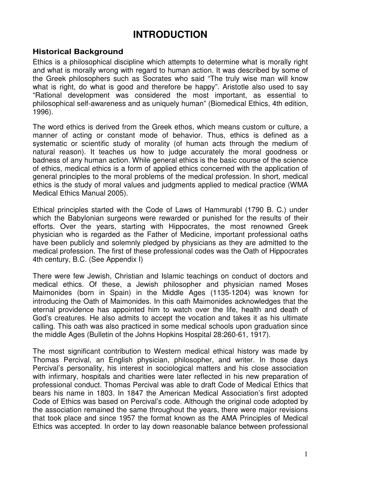## **INTRODUCTION**

#### **Historical Background**

Ethics is a philosophical discipline which attempts to determine what is morally right and what is morally wrong with regard to human action. It was described by some of the Greek philosophers such as Socrates who said "The truly wise man will know what is right, do what is good and therefore be happy". Aristotle also used to say "Rational development was considered the most important, as essential to philosophical self-awareness and as uniquely human" (Biomedical Ethics, 4th edition, 1996).

The word ethics is derived from the Greek ethos, which means custom or culture, a manner of acting or constant mode of behavior. Thus, ethics is defined as a systematic or scientific study of morality (of human acts through the medium of natural reason). It teaches us how to judge accurately the moral goodness or badness of any human action. While general ethics is the basic course of the science of ethics, medical ethics is a form of applied ethics concerned with the application of general principles to the moral problems of the medical profession. In short, medical ethics is the study of moral values and judgments applied to medical practice (WMA Medical Ethics Manual 2005).

Ethical principles started with the Code of Laws of Hammurabl (1790 B. C.) under which the Babylonian surgeons were rewarded or punished for the results of their efforts. Over the years, starting with Hippocrates, the most renowned Greek physician who is regarded as the Father of Medicine, important professional oaths have been publicly and solemnly pledged by physicians as they are admitted to the medical profession. The first of these professional codes was the Oath of Hippocrates 4th century, B.C. (See Appendix I)

There were few Jewish, Christian and Islamic teachings on conduct of doctors and medical ethics. Of these, a Jewish philosopher and physician named Moses Maimonides (born in Spain) in the Middle Ages (1135-1204) was known for introducing the Oath of Maimonides. In this oath Maimonides acknowledges that the eternal providence has appointed him to watch over the life, health and death of God's creatures. He also admits to accept the vocation and takes it as his ultimate calling. This oath was also practiced in some medical schools upon graduation since the middle Ages (Bulletin of the Johns Hopkins Hospital 28:260-61, 1917).

The most significant contribution to Western medical ethical history was made by Thomas Percival, an English physician, philosopher, and writer. In those days Percival's personality, his interest in sociological matters and his close association with infirmary, hospitals and charities were later reflected in his new preparation of professional conduct. Thomas Percival was able to draft Code of Medical Ethics that bears his name in 1803. In 1847 the American Medical Association's first adopted Code of Ethics was based on Percival's code. Although the original code adopted by the association remained the same throughout the years, there were major revisions that took place and since 1957 the format known as the AMA Principles of Medical Ethics was accepted. In order to lay down reasonable balance between professional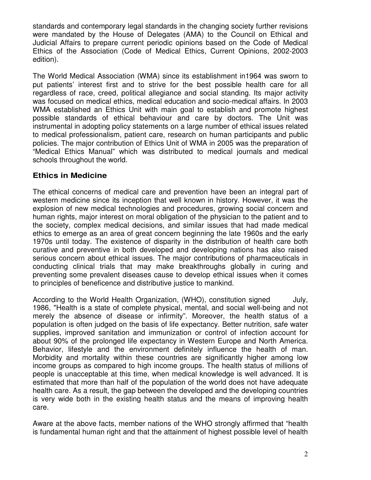standards and contemporary legal standards in the changing society further revisions were mandated by the House of Delegates (AMA) to the Council on Ethical and Judicial Affairs to prepare current periodic opinions based on the Code of Medical Ethics of the Association (Code of Medical Ethics, Current Opinions, 2002-2003 edition).

The World Medical Association (WMA) since its establishment in1964 was sworn to put patients' interest first and to strive for the best possible health care for all regardless of race, creed, political allegiance and social standing. Its major activity was focused on medical ethics, medical education and socio-medical affairs. In 2003 WMA established an Ethics Unit with main goal to establish and promote highest possible standards of ethical behaviour and care by doctors. The Unit was instrumental in adopting policy statements on a large number of ethical issues related to medical professionalism, patient care, research on human participants and public policies. The major contribution of Ethics Unit of WMA in 2005 was the preparation of "Medical Ethics Manual" which was distributed to medical journals and medical schools throughout the world.

#### **Ethics in Medicine**

The ethical concerns of medical care and prevention have been an integral part of western medicine since its inception that well known in history. However, it was the explosion of new medical technologies and procedures, growing social concern and human rights, major interest on moral obligation of the physician to the patient and to the society, complex medical decisions, and similar issues that had made medical ethics to emerge as an area of great concern beginning the late 1960s and the early 1970s until today. The existence of disparity in the distribution of health care both curative and preventive in both developed and developing nations has also raised serious concern about ethical issues. The major contributions of pharmaceuticals in conducting clinical trials that may make breakthroughs globally in curing and preventing some prevalent diseases cause to develop ethical issues when it comes to principles of beneficence and distributive justice to mankind.

According to the World Health Organization, (WHO), constitution signed July, 1986, "Health is a state of complete physical, mental, and social well-being and not merely the absence of disease or infirmity". Moreover, the health status of a population is often judged on the basis of life expectancy. Better nutrition, safe water supplies, improved sanitation and immunization or control of infection account for about 90% of the prolonged life expectancy in Western Europe and North America. Behavior, lifestyle and the environment definitely influence the health of man. Morbidity and mortality within these countries are significantly higher among low income groups as compared to high income groups. The health status of millions of people is unacceptable at this time, when medical knowledge is well advanced. It is estimated that more than half of the population of the world does not have adequate health care. As a result, the gap between the developed and the developing countries is very wide both in the existing health status and the means of improving health care.

Aware at the above facts, member nations of the WHO strongly affirmed that "health is fundamental human right and that the attainment of highest possible level of health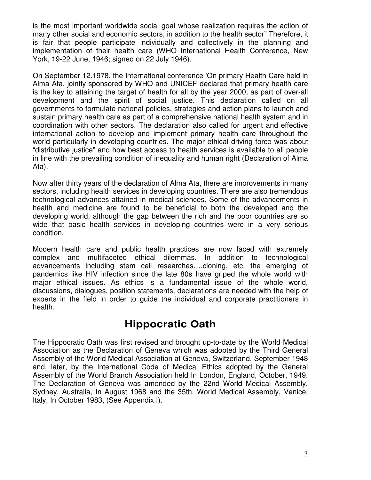is the most important worldwide social goal whose realization requires the action of many other social and economic sectors, in addition to the health sector" Therefore, it is fair that people participate individually and collectively in the planning and implementation of their health care (WHO International Health Conference, New York, 19-22 June, 1946; signed on 22 July 1946).

On September 12.1978, the International conference 'On primary Health Care held in Alma Ata. jointly sponsored by WHO and UNICEF declared that primary health care is the key to attaining the target of health for all by the year 2000, as part of over-all development and the spirit of social justice. This declaration called on all governments to formulate national policies, strategies and action plans to launch and sustain primary health care as part of a comprehensive national health system and in coordination with other sectors. The declaration also called for urgent and effective international action to develop and implement primary health care throughout the world particularly in developing countries. The major ethical driving force was about "distributive justice" and how best access to health services is available to all people in line with the prevailing condition of inequality and human right (Declaration of Alma Ata).

Now after thirty years of the declaration of Alma Ata, there are improvements in many sectors, including health services in developing countries. There are also tremendous technological advances attained in medical sciences. Some of the advancements in health and medicine are found to be beneficial to both the developed and the developing world, although the gap between the rich and the poor countries are so wide that basic health services in developing countries were in a very serious condition.

Modern health care and public health practices are now faced with extremely complex and multifaceted ethical dilemmas. In addition to technological advancements including stem cell researches….cloning, etc. the emerging of pandemics like HIV infection since the late 80s have griped the whole world with major ethical issues. As ethics is a fundamental issue of the whole world, discussions, dialogues, position statements, declarations are needed with the help of experts in the field in order to guide the individual and corporate practitioners in health.

## **Hippocratic Oath**

The Hippocratic Oath was first revised and brought up-to-date by the World Medical Association as the Declaration of Geneva which was adopted by the Third General Assembly of the World Medical Association at Geneva, Switzerland, September 1948 and, later, by the International Code of Medical Ethics adopted by the General Assembly of the World Branch Association held In London, England, October, 1949. The Declaration of Geneva was amended by the 22nd World Medical Assembly, Sydney, Australia, In August 1968 and the 35th. World Medical Assembly, Venice, Italy, In October 1983, (See Appendix I).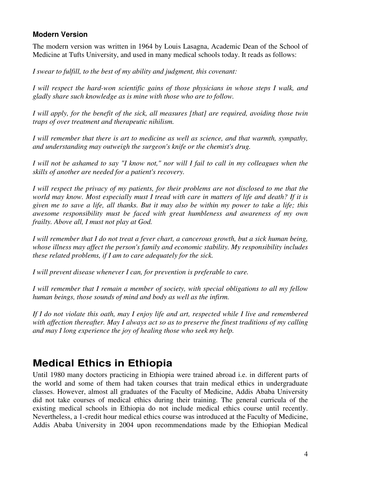#### **Modern Version**

The modern version was written in 1964 by Louis Lasagna, Academic Dean of the School of Medicine at Tufts University, and used in many medical schools today. It reads as follows:

*I swear to fulfill, to the best of my ability and judgment, this covenant:* 

*I will respect the hard-won scientific gains of those physicians in whose steps I walk, and gladly share such knowledge as is mine with those who are to follow.* 

*I will apply, for the benefit of the sick, all measures [that] are required, avoiding those twin traps of over treatment and therapeutic nihilism.* 

*I will remember that there is art to medicine as well as science, and that warmth, sympathy, and understanding may outweigh the surgeon's knife or the chemist's drug.* 

*I* will not be ashamed to say "*I* know not," nor will *I* fail to call in my colleagues when the *skills of another are needed for a patient's recovery.* 

*I will respect the privacy of my patients, for their problems are not disclosed to me that the world may know. Most especially must I tread with care in matters of life and death? If it is given me to save a life, all thanks. But it may also be within my power to take a life; this awesome responsibility must be faced with great humbleness and awareness of my own frailty. Above all, I must not play at God.* 

*I will remember that I do not treat a fever chart, a cancerous growth, but a sick human being, whose illness may affect the person's family and economic stability. My responsibility includes these related problems, if I am to care adequately for the sick.* 

*I will prevent disease whenever I can, for prevention is preferable to cure.* 

*I will remember that I remain a member of society, with special obligations to all my fellow human beings, those sounds of mind and body as well as the infirm.* 

*If I do not violate this oath, may I enjoy life and art, respected while I live and remembered with affection thereafter. May I always act so as to preserve the finest traditions of my calling and may I long experience the joy of healing those who seek my help.* 

## **Medical Ethics in Ethiopia**

Until 1980 many doctors practicing in Ethiopia were trained abroad i.e. in different parts of the world and some of them had taken courses that train medical ethics in undergraduate classes. However, almost all graduates of the Faculty of Medicine, Addis Ababa University did not take courses of medical ethics during their training. The general curricula of the existing medical schools in Ethiopia do not include medical ethics course until recently. Nevertheless, a 1-credit hour medical ethics course was introduced at the Faculty of Medicine, Addis Ababa University in 2004 upon recommendations made by the Ethiopian Medical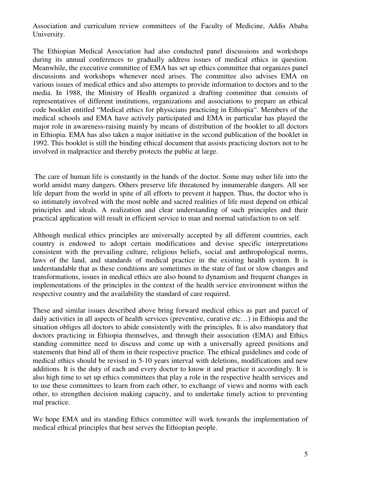Association and curriculum review committees of the Faculty of Medicine, Addis Ababa University.

The Ethiopian Medical Association had also conducted panel discussions and workshops during its annual conferences to gradually address issues of medical ethics in question. Meanwhile, the executive committee of EMA has set up ethics committee that organizes panel discussions and workshops whenever need arises. The committee also advises EMA on various issues of medical ethics and also attempts to provide information to doctors and to the media. In 1988, the Ministry of Health organized a drafting committee that consists of representatives of different institutions, organizations and associations to prepare an ethical code booklet entitled "Medical ethics for physicians practicing in Ethiopia". Members of the medical schools and EMA have actively participated and EMA in particular has played the major role in awareness-raising mainly by means of distribution of the booklet to all doctors in Ethiopia. EMA has also taken a major initiative in the second publication of the booklet in 1992. This booklet is still the binding ethical document that assists practicing doctors not to be involved in malpractice and thereby protects the public at large.

 The care of human life is constantly in the hands of the doctor. Some may usher life into the world amidst many dangers. Others preserve life threatened by innumerable dangers. All see life depart from the world in spite of all efforts to prevent it happen. Thus, the doctor who is so intimately involved with the most noble and sacred realities of life must depend on ethical principles and ideals. A realization and clear understanding of such principles and their practical application will result in efficient service to man and normal satisfaction to on self.

Although medical ethics principles are universally accepted by all different countries, each country is endowed to adopt certain modifications and devise specific interpretations consistent with the prevailing culture, religious beliefs, social and anthropological norms, laws of the land, and standards of medical practice in the existing health system. It is understandable that as these conditions are sometimes in the state of fast or slow changes and transformations, issues in medical ethics are also bound to dynamism and frequent changes in implementations of the principles in the context of the health service environment within the respective country and the availability the standard of care required.

These and similar issues described above bring forward medical ethics as part and parcel of daily activities in all aspects of health services (preventive, curative etc…) in Ethiopia and the situation obliges all doctors to abide consistently with the principles. It is also mandatory that doctors practicing in Ethiopia themselves, and through their association (EMA) and Ethics standing committee need to discuss and come up with a universally agreed positions and statements that bind all of them in their respective practice. The ethical guidelines and code of medical ethics should be revised in 5-10 years interval with deletions, modifications and new additions. It is the duty of each and every doctor to know it and practice it accordingly. It is also high time to set up ethics committees that play a role in the respective health services and to use these committees to learn from each other, to exchange of views and norms with each other, to strengthen decision making capacity, and to undertake timely action to preventing mal practice.

We hope EMA and its standing Ethics committee will work towards the implementation of medical ethical principles that best serves the Ethiopian people.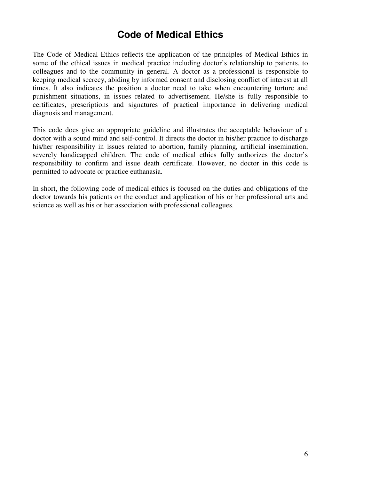## **Code of Medical Ethics**

The Code of Medical Ethics reflects the application of the principles of Medical Ethics in some of the ethical issues in medical practice including doctor's relationship to patients, to colleagues and to the community in general. A doctor as a professional is responsible to keeping medical secrecy, abiding by informed consent and disclosing conflict of interest at all times. It also indicates the position a doctor need to take when encountering torture and punishment situations, in issues related to advertisement. He/she is fully responsible to certificates, prescriptions and signatures of practical importance in delivering medical diagnosis and management.

This code does give an appropriate guideline and illustrates the acceptable behaviour of a doctor with a sound mind and self-control. It directs the doctor in his/her practice to discharge his/her responsibility in issues related to abortion, family planning, artificial insemination, severely handicapped children. The code of medical ethics fully authorizes the doctor's responsibility to confirm and issue death certificate. However, no doctor in this code is permitted to advocate or practice euthanasia.

In short, the following code of medical ethics is focused on the duties and obligations of the doctor towards his patients on the conduct and application of his or her professional arts and science as well as his or her association with professional colleagues.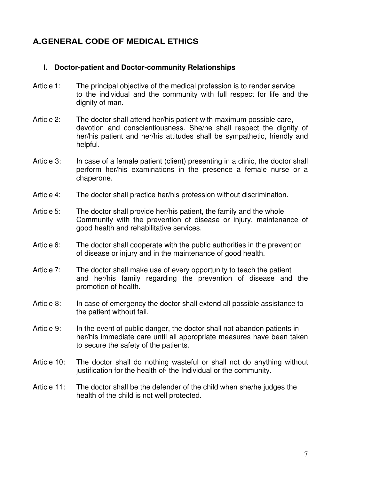#### **A.GENERAL CODE OF MEDICAL ETHICS**

#### **I. Doctor-patient and Doctor-community Relationships**

- Article 1: The principal objective of the medical profession is to render service to the individual and the community with full respect for life and the dignity of man.
- Article 2: The doctor shall attend her/his patient with maximum possible care, devotion and conscientiousness. She/he shall respect the dignity of her/his patient and her/his attitudes shall be sympathetic, friendly and helpful.
- Article 3: In case of a female patient (client) presenting in a clinic, the doctor shall perform her/his examinations in the presence a female nurse or a chaperone.
- Article 4: The doctor shall practice her/his profession without discrimination.
- Article 5: The doctor shall provide her/his patient, the family and the whole Community with the prevention of disease or injury, maintenance of good health and rehabilitative services.
- Article 6: The doctor shall cooperate with the public authorities in the prevention of disease or injury and in the maintenance of good health.
- Article 7: The doctor shall make use of every opportunity to teach the patient and her/his family regarding the prevention of disease and the promotion of health.
- Article 8: In case of emergency the doctor shall extend all possible assistance to the patient without fail.
- Article 9: In the event of public danger, the doctor shall not abandon patients in her/his immediate care until all appropriate measures have been taken to secure the safety of the patients.
- Article 10: The doctor shall do nothing wasteful or shall not do anything without justification for the health of the Individual or the community.
- Article 11: The doctor shall be the defender of the child when she/he judges the health of the child is not well protected.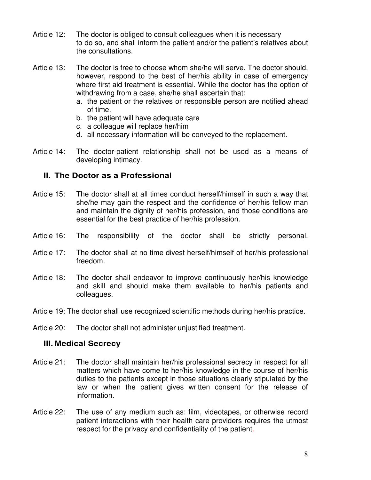- Article 12: The doctor is obliged to consult colleagues when it is necessary to do so, and shall inform the patient and/or the patient's relatives about the consultations.
- Article 13: The doctor is free to choose whom she/he will serve. The doctor should, however, respond to the best of her/his ability in case of emergency where first aid treatment is essential. While the doctor has the option of withdrawing from a case, she/he shall ascertain that:
	- a. the patient or the relatives or responsible person are notified ahead of time.
	- b. the patient will have adequate care
	- c. a colleague will replace her/him
	- d. all necessary information will be conveyed to the replacement.
- Article 14: The doctor-patient relationship shall not be used as a means of developing intimacy.

#### **II. The Doctor as a Professional**

- Article 15: The doctor shall at all times conduct herself/himself in such a way that she/he may gain the respect and the confidence of her/his fellow man and maintain the dignity of her/his profession, and those conditions are essential for the best practice of her/his profession.
- Article 16: The responsibility of the doctor shall be strictly personal.
- Article 17: The doctor shall at no time divest herself/himself of her/his professional freedom.
- Article 18: The doctor shall endeavor to improve continuously her/his knowledge and skill and should make them available to her/his patients and colleagues.
- Article 19: The doctor shall use recognized scientific methods during her/his practice.
- Article 20: The doctor shall not administer unjustified treatment.

#### **III. Medical Secrecy**

- Article 21: The doctor shall maintain her/his professional secrecy in respect for all matters which have come to her/his knowledge in the course of her/his duties to the patients except in those situations clearly stipulated by the law or when the patient gives written consent for the release of information.
- Article 22: The use of any medium such as: film, videotapes, or otherwise record patient interactions with their health care providers requires the utmost respect for the privacy and confidentiality of the patient.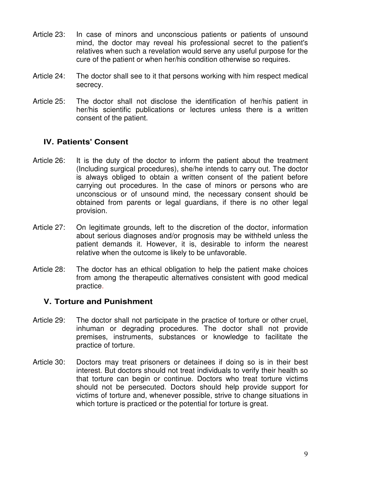- Article 23: In case of minors and unconscious patients or patients of unsound mind, the doctor may reveal his professional secret to the patient's relatives when such a revelation would serve any useful purpose for the cure of the patient or when her/his condition otherwise so requires.
- Article 24: The doctor shall see to it that persons working with him respect medical secrecy.
- Article 25: The doctor shall not disclose the identification of her/his patient in her/his scientific publications or lectures unless there is a written consent of the patient.

#### **IV. Patients' Consent**

- Article 26: It is the duty of the doctor to inform the patient about the treatment (Including surgical procedures), she/he intends to carry out. The doctor is always obliged to obtain a written consent of the patient before carrying out procedures. In the case of minors or persons who are unconscious or of unsound mind, the necessary consent should be obtained from parents or legal guardians, if there is no other legal provision.
- Article 27: On legitimate grounds, left to the discretion of the doctor, information about serious diagnoses and/or prognosis may be withheld unless the patient demands it. However, it is, desirable to inform the nearest relative when the outcome is likely to be unfavorable.
- Article 28: The doctor has an ethical obligation to help the patient make choices from among the therapeutic alternatives consistent with good medical practice.

#### **V. Torture and Punishment**

- Article 29: The doctor shall not participate in the practice of torture or other cruel, inhuman or degrading procedures. The doctor shall not provide premises, instruments, substances or knowledge to facilitate the practice of torture.
- Article 30: Doctors may treat prisoners or detainees if doing so is in their best interest. But doctors should not treat individuals to verify their health so that torture can begin or continue. Doctors who treat torture victims should not be persecuted. Doctors should help provide support for victims of torture and, whenever possible, strive to change situations in which torture is practiced or the potential for torture is great.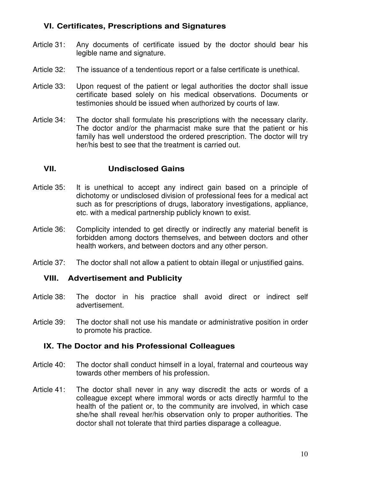#### **VI. Certificates, Prescriptions and Signatures**

- Article 31: Any documents of certificate issued by the doctor should bear his legible name and signature.
- Article 32: The issuance of a tendentious report or a false certificate is unethical.
- Article 33: Upon request of the patient or legal authorities the doctor shall issue certificate based solely on his medical observations. Documents or testimonies should be issued when authorized by courts of law.
- Article 34: The doctor shall formulate his prescriptions with the necessary clarity. The doctor and/or the pharmacist make sure that the patient or his family has well understood the ordered prescription. The doctor will try her/his best to see that the treatment is carried out.

#### **VII. Undisclosed Gains**

- Article 35: It is unethical to accept any indirect gain based on a principle of dichotomy or undisclosed division of professional fees for a medical act such as for prescriptions of drugs, laboratory investigations, appliance, etc. with a medical partnership publicly known to exist.
- Article 36: Complicity intended to get directly or indirectly any material benefit is forbidden among doctors themselves, and between doctors and other health workers, and between doctors and any other person.
- Article 37: The doctor shall not allow a patient to obtain illegal or unjustified gains.

#### **VIII. Advertisement and Publicity**

- Article 38: The doctor in his practice shall avoid direct or indirect self advertisement.
- Article 39: The doctor shall not use his mandate or administrative position in order to promote his practice.

#### **IX. The Doctor and his Professional Colleagues**

- Article 40: The doctor shall conduct himself in a loyal, fraternal and courteous way towards other members of his profession.
- Article 41: The doctor shall never in any way discredit the acts or words of a colleague except where immoral words or acts directly harmful to the health of the patient or, to the community are involved, in which case she/he shall reveal her/his observation only to proper authorities. The doctor shall not tolerate that third parties disparage a colleague.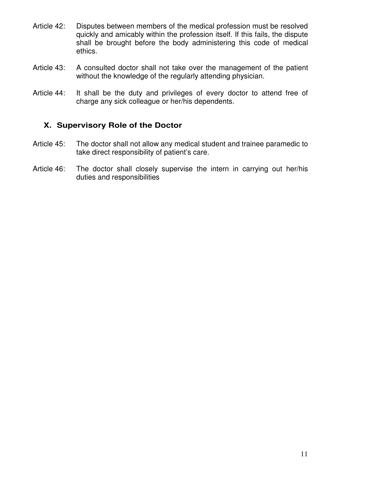- Article 42: Disputes between members of the medical profession must be resolved quickly and amicably within the profession itself. If this fails, the dispute shall be brought before the body administering this code of medical ethics.
- Article 43: A consulted doctor shall not take over the management of the patient without the knowledge of the regularly attending physician.
- Article 44: It shall be the duty and privileges of every doctor to attend free of charge any sick colleague or her/his dependents.

#### **X. Supervisory Role of the Doctor**

- Article 45: The doctor shall not allow any medical student and trainee paramedic to take direct responsibility of patient's care.
- Article 46: The doctor shall closely supervise the intern in carrying out her/his duties and responsibilities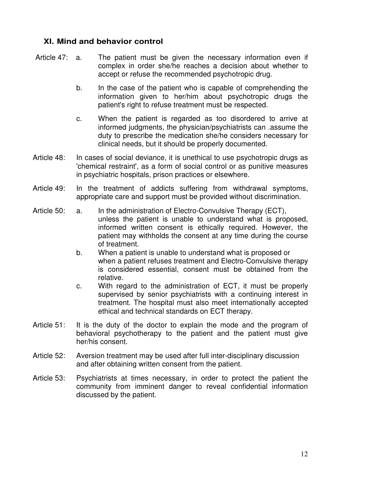#### **XI. Mind and behavior control**

- Article 47: a. The patient must be given the necessary information even if complex in order she/he reaches a decision about whether to accept or refuse the recommended psychotropic drug.
	- b. In the case of the patient who is capable of comprehending the information given to her/him about psychotropic drugs the patient's right to refuse treatment must be respected.
	- c. When the patient is regarded as too disordered to arrive at informed judgments, the physician/psychiatrists can .assume the duty to prescribe the medication she/he considers necessary for clinical needs, but it should be properly documented.
- Article 48: In cases of social deviance, it is unethical to use psychotropic drugs as 'chemical restraint', as a form of social control or as punitive measures in psychiatric hospitals, prison practices or elsewhere.
- Article 49: In the treatment of addicts suffering from withdrawal symptoms, appropriate care and support must be provided without discrimination.
- Article 50: a. In the administration of Electro-Convulsive Therapy (ECT), unless the patient is unable to understand what is proposed, informed written consent is ethically required. However, the patient may withholds the consent at any time during the course of treatment.
	- b. When a patient is unable to understand what is proposed or when a patient refuses treatment and Electro-Convulsive therapy is considered essential, consent must be obtained from the relative.
	- c. With regard to the administration of ECT, it must be properly supervised by senior psychiatrists with a continuing interest in treatment. The hospital must also meet internationally accepted ethical and technical standards on ECT therapy.
- Article 51: It is the duty of the doctor to explain the mode and the program of behavioral psychotherapy to the patient and the patient must give her/his consent.
- Article 52: Aversion treatment may be used after full inter-disciplinary discussion and after obtaining written consent from the patient.
- Article 53: Psychiatrists at times necessary, in order to protect the patient the community from imminent danger to reveal confidential information discussed by the patient.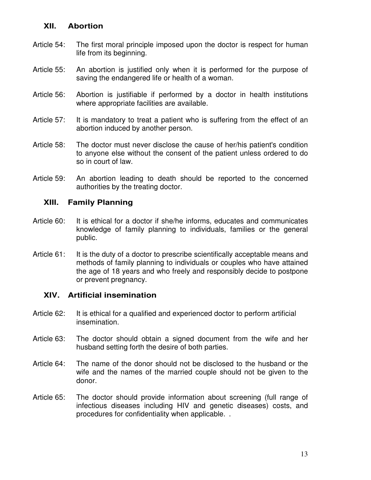#### **XII. Abortion**

- Article 54: The first moral principle imposed upon the doctor is respect for human life from its beginning.
- Article 55: An abortion is justified only when it is performed for the purpose of saving the endangered life or health of a woman.
- Article 56: Abortion is justifiable if performed by a doctor in health institutions where appropriate facilities are available.
- Article 57: It is mandatory to treat a patient who is suffering from the effect of an abortion induced by another person.
- Article 58: The doctor must never disclose the cause of her/his patient's condition to anyone else without the consent of the patient unless ordered to do so in court of law.
- Article 59: An abortion leading to death should be reported to the concerned authorities by the treating doctor.

#### **XIII. Family Planning**

- Article 60: It is ethical for a doctor if she/he informs, educates and communicates knowledge of family planning to individuals, families or the general public.
- Article 61: It is the duty of a doctor to prescribe scientifically acceptable means and methods of family planning to individuals or couples who have attained the age of 18 years and who freely and responsibly decide to postpone or prevent pregnancy.

#### **XIV. Artificial insemination**

- Article 62: It is ethical for a qualified and experienced doctor to perform artificial insemination.
- Article 63: The doctor should obtain a signed document from the wife and her husband setting forth the desire of both parties.
- Article 64: The name of the donor should not be disclosed to the husband or the wife and the names of the married couple should not be given to the donor.
- Article 65: The doctor should provide information about screening (full range of infectious diseases including HIV and genetic diseases) costs, and procedures for confidentiality when applicable. .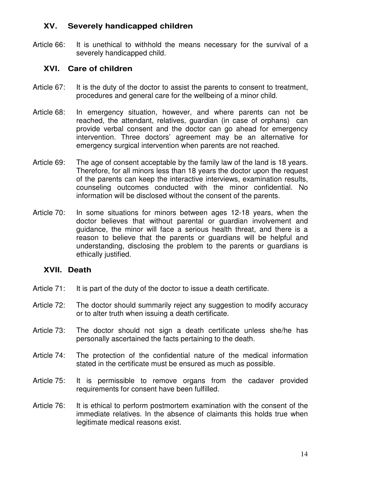#### **XV. Severely handicapped children**

Article 66: It is unethical to withhold the means necessary for the survival of a severely handicapped child.

#### **XVI. Care of children**

- Article 67: It is the duty of the doctor to assist the parents to consent to treatment, procedures and general care for the wellbeing of a minor child.
- Article 68: In emergency situation, however, and where parents can not be reached, the attendant, relatives, guardian (in case of orphans) can provide verbal consent and the doctor can go ahead for emergency intervention. Three doctors' agreement may be an alternative for emergency surgical intervention when parents are not reached.
- Article 69: The age of consent acceptable by the family law of the land is 18 years. Therefore, for all minors less than 18 years the doctor upon the request of the parents can keep the interactive interviews, examination results, counseling outcomes conducted with the minor confidential. No information will be disclosed without the consent of the parents.
- Article 70: In some situations for minors between ages 12-18 years, when the doctor believes that without parental or guardian involvement and guidance, the minor will face a serious health threat, and there is a reason to believe that the parents or guardians will be helpful and understanding, disclosing the problem to the parents or guardians is ethically justified.

#### **XVII. Death**

- Article 71: It is part of the duty of the doctor to issue a death certificate.
- Article 72: The doctor should summarily reject any suggestion to modify accuracy or to alter truth when issuing a death certificate.
- Article 73: The doctor should not sign a death certificate unless she/he has personally ascertained the facts pertaining to the death.
- Article 74: The protection of the confidential nature of the medical information stated in the certificate must be ensured as much as possible.
- Article 75: It is permissible to remove organs from the cadaver provided requirements for consent have been fulfilled.
- Article 76: It is ethical to perform postmortem examination with the consent of the immediate relatives. In the absence of claimants this holds true when legitimate medical reasons exist.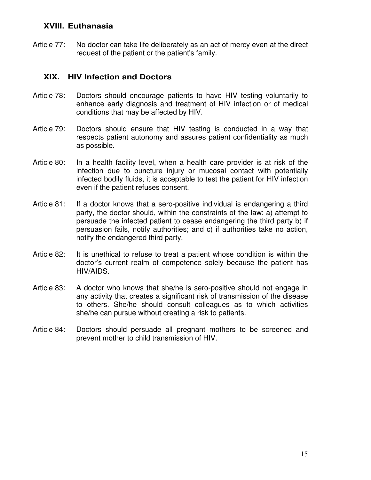#### **XVIII. Euthanasia**

Article 77: No doctor can take life deliberately as an act of mercy even at the direct request of the patient or the patient's family.

#### **XIX. HIV Infection and Doctors**

- Article 78: Doctors should encourage patients to have HIV testing voluntarily to enhance early diagnosis and treatment of HIV infection or of medical conditions that may be affected by HIV.
- Article 79: Doctors should ensure that HIV testing is conducted in a way that respects patient autonomy and assures patient confidentiality as much as possible.
- Article 80: In a health facility level, when a health care provider is at risk of the infection due to puncture injury or mucosal contact with potentially infected bodily fluids, it is acceptable to test the patient for HIV infection even if the patient refuses consent.
- Article 81: If a doctor knows that a sero-positive individual is endangering a third party, the doctor should, within the constraints of the law: a) attempt to persuade the infected patient to cease endangering the third party b) if persuasion fails, notify authorities; and c) if authorities take no action, notify the endangered third party.
- Article 82: It is unethical to refuse to treat a patient whose condition is within the doctor's current realm of competence solely because the patient has HIV/AIDS.
- Article 83: A doctor who knows that she/he is sero-positive should not engage in any activity that creates a significant risk of transmission of the disease to others. She/he should consult colleagues as to which activities she/he can pursue without creating a risk to patients.
- Article 84: Doctors should persuade all pregnant mothers to be screened and prevent mother to child transmission of HIV.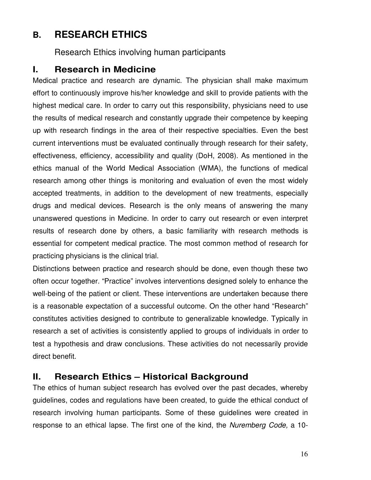## **B. RESEARCH ETHICS**

Research Ethics involving human participants

### **I. Research in Medicine**

Medical practice and research are dynamic. The physician shall make maximum effort to continuously improve his/her knowledge and skill to provide patients with the highest medical care. In order to carry out this responsibility, physicians need to use the results of medical research and constantly upgrade their competence by keeping up with research findings in the area of their respective specialties. Even the best current interventions must be evaluated continually through research for their safety, effectiveness, efficiency, accessibility and quality (DoH, 2008). As mentioned in the ethics manual of the World Medical Association (WMA), the functions of medical research among other things is monitoring and evaluation of even the most widely accepted treatments, in addition to the development of new treatments, especially drugs and medical devices. Research is the only means of answering the many unanswered questions in Medicine. In order to carry out research or even interpret results of research done by others, a basic familiarity with research methods is essential for competent medical practice. The most common method of research for practicing physicians is the clinical trial.

Distinctions between practice and research should be done, even though these two often occur together. "Practice" involves interventions designed solely to enhance the well-being of the patient or client. These interventions are undertaken because there is a reasonable expectation of a successful outcome. On the other hand "Research" constitutes activities designed to contribute to generalizable knowledge. Typically in research a set of activities is consistently applied to groups of individuals in order to test a hypothesis and draw conclusions. These activities do not necessarily provide direct benefit.

### **II. Research Ethics – Historical Background**

The ethics of human subject research has evolved over the past decades, whereby guidelines, codes and regulations have been created, to guide the ethical conduct of research involving human participants. Some of these guidelines were created in response to an ethical lapse. The first one of the kind, the Nuremberg Code, a 10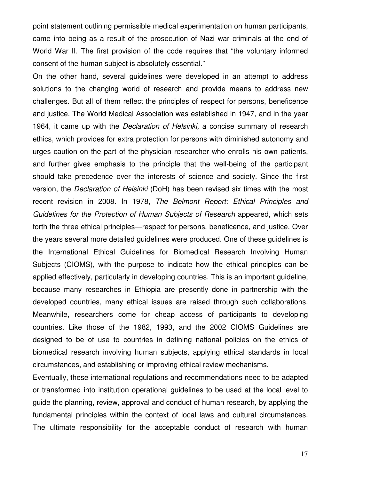point statement outlining permissible medical experimentation on human participants, came into being as a result of the prosecution of Nazi war criminals at the end of World War II. The first provision of the code requires that "the voluntary informed consent of the human subject is absolutely essential."

On the other hand, several guidelines were developed in an attempt to address solutions to the changing world of research and provide means to address new challenges. But all of them reflect the principles of respect for persons, beneficence and justice. The World Medical Association was established in 1947, and in the year 1964, it came up with the *Declaration of Helsinki*, a concise summary of research ethics, which provides for extra protection for persons with diminished autonomy and urges caution on the part of the physician researcher who enrolls his own patients, and further gives emphasis to the principle that the well-being of the participant should take precedence over the interests of science and society. Since the first version, the Declaration of Helsinki (DoH) has been revised six times with the most recent revision in 2008. In 1978, The Belmont Report: Ethical Principles and Guidelines for the Protection of Human Subjects of Research appeared, which sets forth the three ethical principles—respect for persons, beneficence, and justice. Over the years several more detailed guidelines were produced. One of these guidelines is the International Ethical Guidelines for Biomedical Research Involving Human Subjects (CIOMS), with the purpose to indicate how the ethical principles can be applied effectively, particularly in developing countries. This is an important guideline, because many researches in Ethiopia are presently done in partnership with the developed countries, many ethical issues are raised through such collaborations. Meanwhile, researchers come for cheap access of participants to developing countries. Like those of the 1982, 1993, and the 2002 CIOMS Guidelines are designed to be of use to countries in defining national policies on the ethics of biomedical research involving human subjects, applying ethical standards in local circumstances, and establishing or improving ethical review mechanisms.

Eventually, these international regulations and recommendations need to be adapted or transformed into institution operational guidelines to be used at the local level to guide the planning, review, approval and conduct of human research, by applying the fundamental principles within the context of local laws and cultural circumstances. The ultimate responsibility for the acceptable conduct of research with human

17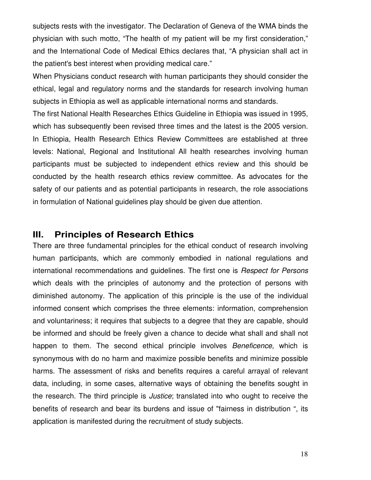subjects rests with the investigator. The Declaration of Geneva of the WMA binds the physician with such motto, "The health of my patient will be my first consideration," and the International Code of Medical Ethics declares that, "A physician shall act in the patient's best interest when providing medical care."

When Physicians conduct research with human participants they should consider the ethical, legal and regulatory norms and the standards for research involving human subjects in Ethiopia as well as applicable international norms and standards.

The first National Health Researches Ethics Guideline in Ethiopia was issued in 1995, which has subsequently been revised three times and the latest is the 2005 version. In Ethiopia, Health Research Ethics Review Committees are established at three levels: National, Regional and Institutional All health researches involving human participants must be subjected to independent ethics review and this should be conducted by the health research ethics review committee. As advocates for the safety of our patients and as potential participants in research, the role associations in formulation of National guidelines play should be given due attention.

#### **III. Principles of Research Ethics**

There are three fundamental principles for the ethical conduct of research involving human participants, which are commonly embodied in national regulations and international recommendations and guidelines. The first one is Respect for Persons which deals with the principles of autonomy and the protection of persons with diminished autonomy. The application of this principle is the use of the individual informed consent which comprises the three elements: information, comprehension and voluntariness; it requires that subjects to a degree that they are capable, should be informed and should be freely given a chance to decide what shall and shall not happen to them. The second ethical principle involves *Beneficence*, which is synonymous with do no harm and maximize possible benefits and minimize possible harms. The assessment of risks and benefits requires a careful arrayal of relevant data, including, in some cases, alternative ways of obtaining the benefits sought in the research. The third principle is *Justice*; translated into who ought to receive the benefits of research and bear its burdens and issue of "fairness in distribution ", its application is manifested during the recruitment of study subjects.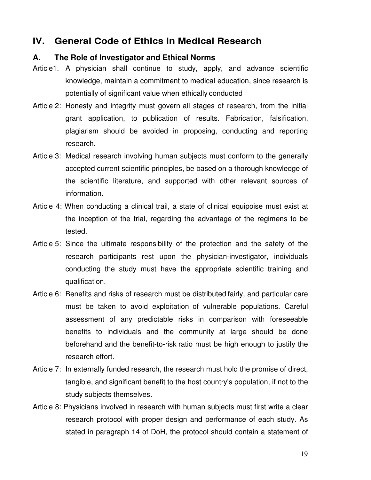### **IV. General Code of Ethics in Medical Research**

#### **A. The Role of Investigator and Ethical Norms**

- Article1. A physician shall continue to study, apply, and advance scientific knowledge, maintain a commitment to medical education, since research is potentially of significant value when ethically conducted
- Article 2: Honesty and integrity must govern all stages of research, from the initial grant application, to publication of results. Fabrication, falsification, plagiarism should be avoided in proposing, conducting and reporting research.
- Article 3: Medical research involving human subjects must conform to the generally accepted current scientific principles, be based on a thorough knowledge of the scientific literature, and supported with other relevant sources of information.
- Article 4: When conducting a clinical trail, a state of clinical equipoise must exist at the inception of the trial, regarding the advantage of the regimens to be tested.
- Article 5: Since the ultimate responsibility of the protection and the safety of the research participants rest upon the physician-investigator, individuals conducting the study must have the appropriate scientific training and qualification.
- Article 6: Benefits and risks of research must be distributed fairly, and particular care must be taken to avoid exploitation of vulnerable populations. Careful assessment of any predictable risks in comparison with foreseeable benefits to individuals and the community at large should be done beforehand and the benefit-to-risk ratio must be high enough to justify the research effort.
- Article 7: In externally funded research, the research must hold the promise of direct, tangible, and significant benefit to the host country's population, if not to the study subjects themselves.
- Article 8: Physicians involved in research with human subjects must first write a clear research protocol with proper design and performance of each study. As stated in paragraph 14 of DoH, the protocol should contain a statement of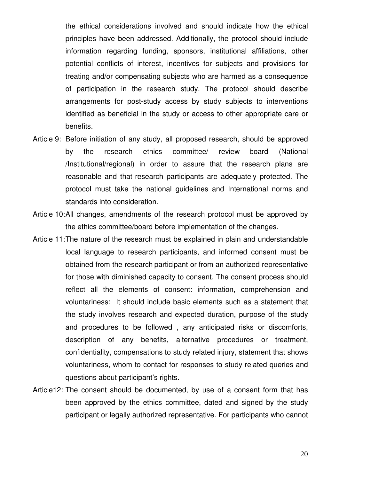the ethical considerations involved and should indicate how the ethical principles have been addressed. Additionally, the protocol should include information regarding funding, sponsors, institutional affiliations, other potential conflicts of interest, incentives for subjects and provisions for treating and/or compensating subjects who are harmed as a consequence of participation in the research study. The protocol should describe arrangements for post-study access by study subjects to interventions identified as beneficial in the study or access to other appropriate care or benefits.

- Article 9: Before initiation of any study, all proposed research, should be approved by the research ethics committee/ review board (National /Institutional/regional) in order to assure that the research plans are reasonable and that research participants are adequately protected. The protocol must take the national guidelines and International norms and standards into consideration.
- Article 10: All changes, amendments of the research protocol must be approved by the ethics committee/board before implementation of the changes.
- Article 11: The nature of the research must be explained in plain and understandable local language to research participants, and informed consent must be obtained from the research participant or from an authorized representative for those with diminished capacity to consent. The consent process should reflect all the elements of consent: information, comprehension and voluntariness: It should include basic elements such as a statement that the study involves research and expected duration, purpose of the study and procedures to be followed , any anticipated risks or discomforts, description of any benefits, alternative procedures or treatment, confidentiality, compensations to study related injury, statement that shows voluntariness, whom to contact for responses to study related queries and questions about participant's rights.
- Article12: The consent should be documented, by use of a consent form that has been approved by the ethics committee, dated and signed by the study participant or legally authorized representative. For participants who cannot

20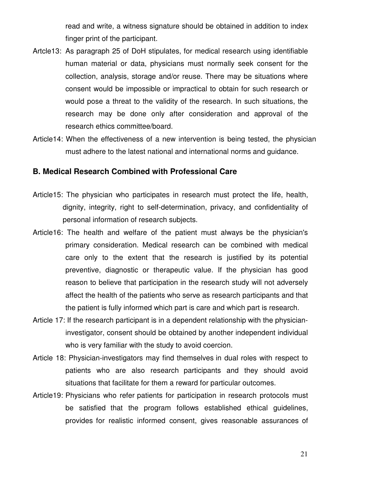read and write, a witness signature should be obtained in addition to index finger print of the participant.

- Artcle13: As paragraph 25 of DoH stipulates, for medical research using identifiable human material or data, physicians must normally seek consent for the collection, analysis, storage and/or reuse. There may be situations where consent would be impossible or impractical to obtain for such research or would pose a threat to the validity of the research. In such situations, the research may be done only after consideration and approval of the research ethics committee/board.
- Article14: When the effectiveness of a new intervention is being tested, the physician must adhere to the latest national and international norms and guidance.

#### **B. Medical Research Combined with Professional Care**

- Article15: The physician who participates in research must protect the life, health, dignity, integrity, right to self-determination, privacy, and confidentiality of personal information of research subjects.
- Article16: The health and welfare of the patient must always be the physician's primary consideration. Medical research can be combined with medical care only to the extent that the research is justified by its potential preventive, diagnostic or therapeutic value. If the physician has good reason to believe that participation in the research study will not adversely affect the health of the patients who serve as research participants and that the patient is fully informed which part is care and which part is research.
- Article 17: If the research participant is in a dependent relationship with the physicianinvestigator, consent should be obtained by another independent individual who is very familiar with the study to avoid coercion.
- Article 18: Physician-investigators may find themselves in dual roles with respect to patients who are also research participants and they should avoid situations that facilitate for them a reward for particular outcomes.
- Article19: Physicians who refer patients for participation in research protocols must be satisfied that the program follows established ethical guidelines, provides for realistic informed consent, gives reasonable assurances of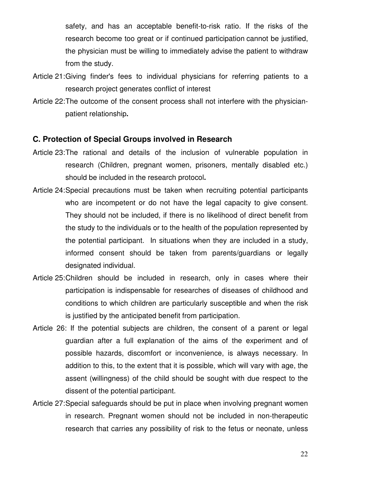safety, and has an acceptable benefit-to-risk ratio. If the risks of the research become too great or if continued participation cannot be justified, the physician must be willing to immediately advise the patient to withdraw from the study.

- Article 21: Giving finder's fees to individual physicians for referring patients to a research project generates conflict of interest
- Article 22: The outcome of the consent process shall not interfere with the physicianpatient relationship**.**

#### **C. Protection of Special Groups involved in Research**

- Article 23: The rational and details of the inclusion of vulnerable population in research (Children, pregnant women, prisoners, mentally disabled etc.) should be included in the research protocol**.**
- Article 24: Special precautions must be taken when recruiting potential participants who are incompetent or do not have the legal capacity to give consent. They should not be included, if there is no likelihood of direct benefit from the study to the individuals or to the health of the population represented by the potential participant. In situations when they are included in a study, informed consent should be taken from parents/guardians or legally designated individual.
- Article 25: Children should be included in research, only in cases where their participation is indispensable for researches of diseases of childhood and conditions to which children are particularly susceptible and when the risk is justified by the anticipated benefit from participation.
- Article 26: If the potential subjects are children, the consent of a parent or legal guardian after a full explanation of the aims of the experiment and of possible hazards, discomfort or inconvenience, is always necessary. In addition to this, to the extent that it is possible, which will vary with age, the assent (willingness) of the child should be sought with due respect to the dissent of the potential participant.
- Article 27: Special safeguards should be put in place when involving pregnant women in research. Pregnant women should not be included in non-therapeutic research that carries any possibility of risk to the fetus or neonate, unless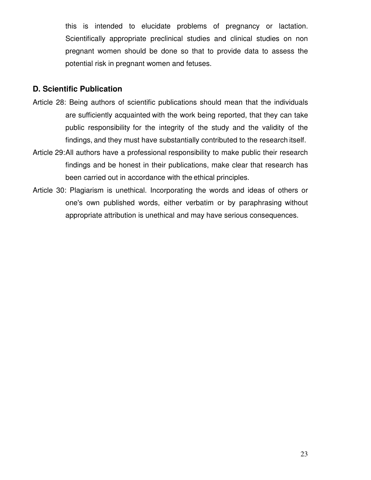this is intended to elucidate problems of pregnancy or lactation. Scientifically appropriate preclinical studies and clinical studies on non pregnant women should be done so that to provide data to assess the potential risk in pregnant women and fetuses.

#### **D. Scientific Publication**

- Article 28: Being authors of scientific publications should mean that the individuals are sufficiently acquainted with the work being reported, that they can take public responsibility for the integrity of the study and the validity of the findings, and they must have substantially contributed to the research itself.
- Article 29: All authors have a professional responsibility to make public their research findings and be honest in their publications, make clear that research has been carried out in accordance with the ethical principles.
- Article 30: Plagiarism is unethical. Incorporating the words and ideas of others or one's own published words, either verbatim or by paraphrasing without appropriate attribution is unethical and may have serious consequences.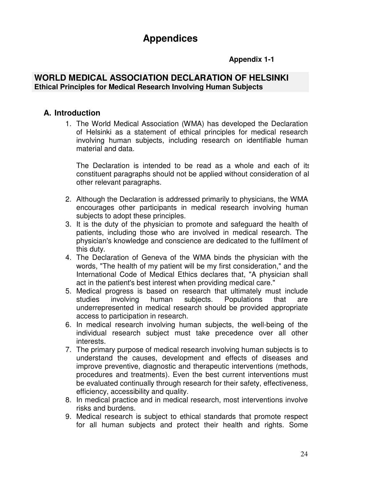## **Appendices**

#### **Appendix 1-1**

#### **WORLD MEDICAL ASSOCIATION DECLARATION OF HELSINKI Ethical Principles for Medical Research Involving Human Subjects**

#### **A. Introduction**

1. The World Medical Association (WMA) has developed the Declaration of Helsinki as a statement of ethical principles for medical research involving human subjects, including research on identifiable human material and data.

The Declaration is intended to be read as a whole and each of its constituent paragraphs should not be applied without consideration of all other relevant paragraphs.

- 2. Although the Declaration is addressed primarily to physicians, the WMA encourages other participants in medical research involving human subjects to adopt these principles.
- 3. It is the duty of the physician to promote and safeguard the health of patients, including those who are involved in medical research. The physician's knowledge and conscience are dedicated to the fulfilment of this duty.
- 4. The Declaration of Geneva of the WMA binds the physician with the words, "The health of my patient will be my first consideration," and the International Code of Medical Ethics declares that, "A physician shall act in the patient's best interest when providing medical care."
- 5. Medical progress is based on research that ultimately must include studies involving human subjects. Populations that are underrepresented in medical research should be provided appropriate access to participation in research.
- 6. In medical research involving human subjects, the well-being of the individual research subject must take precedence over all other interests.
- 7. The primary purpose of medical research involving human subjects is to understand the causes, development and effects of diseases and improve preventive, diagnostic and therapeutic interventions (methods, procedures and treatments). Even the best current interventions must be evaluated continually through research for their safety, effectiveness, efficiency, accessibility and quality.
- 8. In medical practice and in medical research, most interventions involve risks and burdens.
- 9. Medical research is subject to ethical standards that promote respect for all human subjects and protect their health and rights. Some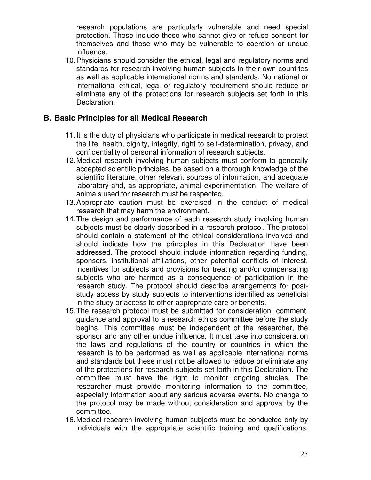research populations are particularly vulnerable and need special protection. These include those who cannot give or refuse consent for themselves and those who may be vulnerable to coercion or undue influence.

10. Physicians should consider the ethical, legal and regulatory norms and standards for research involving human subjects in their own countries as well as applicable international norms and standards. No national or international ethical, legal or regulatory requirement should reduce or eliminate any of the protections for research subjects set forth in this Declaration.

#### **B. Basic Principles for all Medical Research**

- 11. It is the duty of physicians who participate in medical research to protect the life, health, dignity, integrity, right to self-determination, privacy, and confidentiality of personal information of research subjects.
- 12. Medical research involving human subjects must conform to generally accepted scientific principles, be based on a thorough knowledge of the scientific literature, other relevant sources of information, and adequate laboratory and, as appropriate, animal experimentation. The welfare of animals used for research must be respected.
- 13. Appropriate caution must be exercised in the conduct of medical research that may harm the environment.
- 14. The design and performance of each research study involving human subjects must be clearly described in a research protocol. The protocol should contain a statement of the ethical considerations involved and should indicate how the principles in this Declaration have been addressed. The protocol should include information regarding funding, sponsors, institutional affiliations, other potential conflicts of interest, incentives for subjects and provisions for treating and/or compensating subjects who are harmed as a consequence of participation in the research study. The protocol should describe arrangements for poststudy access by study subjects to interventions identified as beneficial in the study or access to other appropriate care or benefits.
- 15. The research protocol must be submitted for consideration, comment, guidance and approval to a research ethics committee before the study begins. This committee must be independent of the researcher, the sponsor and any other undue influence. It must take into consideration the laws and regulations of the country or countries in which the research is to be performed as well as applicable international norms and standards but these must not be allowed to reduce or eliminate any of the protections for research subjects set forth in this Declaration. The committee must have the right to monitor ongoing studies. The researcher must provide monitoring information to the committee, especially information about any serious adverse events. No change to the protocol may be made without consideration and approval by the committee.
- 16. Medical research involving human subjects must be conducted only by individuals with the appropriate scientific training and qualifications.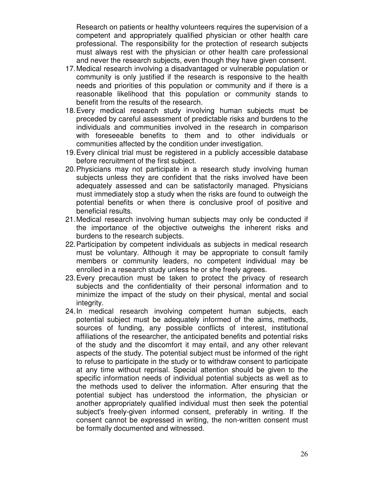Research on patients or healthy volunteers requires the supervision of a competent and appropriately qualified physician or other health care professional. The responsibility for the protection of research subjects must always rest with the physician or other health care professional and never the research subjects, even though they have given consent.

- 17. Medical research involving a disadvantaged or vulnerable population or community is only justified if the research is responsive to the health needs and priorities of this population or community and if there is a reasonable likelihood that this population or community stands to benefit from the results of the research.
- 18. Every medical research study involving human subjects must be preceded by careful assessment of predictable risks and burdens to the individuals and communities involved in the research in comparison with foreseeable benefits to them and to other individuals or communities affected by the condition under investigation.
- 19. Every clinical trial must be registered in a publicly accessible database before recruitment of the first subject.
- 20. Physicians may not participate in a research study involving human subjects unless they are confident that the risks involved have been adequately assessed and can be satisfactorily managed. Physicians must immediately stop a study when the risks are found to outweigh the potential benefits or when there is conclusive proof of positive and beneficial results.
- 21. Medical research involving human subjects may only be conducted if the importance of the objective outweighs the inherent risks and burdens to the research subjects.
- 22. Participation by competent individuals as subjects in medical research must be voluntary. Although it may be appropriate to consult family members or community leaders, no competent individual may be enrolled in a research study unless he or she freely agrees.
- 23. Every precaution must be taken to protect the privacy of research subjects and the confidentiality of their personal information and to minimize the impact of the study on their physical, mental and social integrity.
- 24. In medical research involving competent human subjects, each potential subject must be adequately informed of the aims, methods, sources of funding, any possible conflicts of interest, institutional affiliations of the researcher, the anticipated benefits and potential risks of the study and the discomfort it may entail, and any other relevant aspects of the study. The potential subject must be informed of the right to refuse to participate in the study or to withdraw consent to participate at any time without reprisal. Special attention should be given to the specific information needs of individual potential subjects as well as to the methods used to deliver the information. After ensuring that the potential subject has understood the information, the physician or another appropriately qualified individual must then seek the potential subject's freely-given informed consent, preferably in writing. If the consent cannot be expressed in writing, the non-written consent must be formally documented and witnessed.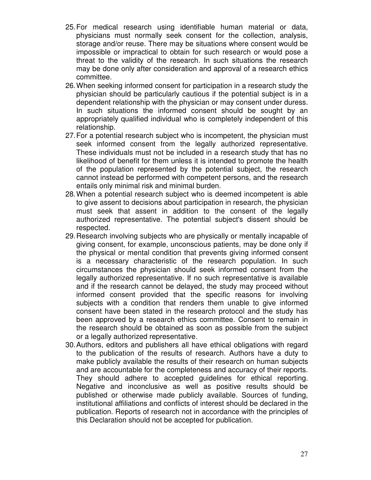- 25. For medical research using identifiable human material or data, physicians must normally seek consent for the collection, analysis, storage and/or reuse. There may be situations where consent would be impossible or impractical to obtain for such research or would pose a threat to the validity of the research. In such situations the research may be done only after consideration and approval of a research ethics committee.
- 26. When seeking informed consent for participation in a research study the physician should be particularly cautious if the potential subject is in a dependent relationship with the physician or may consent under duress. In such situations the informed consent should be sought by an appropriately qualified individual who is completely independent of this relationship.
- 27. For a potential research subject who is incompetent, the physician must seek informed consent from the legally authorized representative. These individuals must not be included in a research study that has no likelihood of benefit for them unless it is intended to promote the health of the population represented by the potential subject, the research cannot instead be performed with competent persons, and the research entails only minimal risk and minimal burden.
- 28. When a potential research subject who is deemed incompetent is able to give assent to decisions about participation in research, the physician must seek that assent in addition to the consent of the legally authorized representative. The potential subject's dissent should be respected.
- 29. Research involving subjects who are physically or mentally incapable of giving consent, for example, unconscious patients, may be done only if the physical or mental condition that prevents giving informed consent is a necessary characteristic of the research population. In such circumstances the physician should seek informed consent from the legally authorized representative. If no such representative is available and if the research cannot be delayed, the study may proceed without informed consent provided that the specific reasons for involving subjects with a condition that renders them unable to give informed consent have been stated in the research protocol and the study has been approved by a research ethics committee. Consent to remain in the research should be obtained as soon as possible from the subject or a legally authorized representative.
- 30. Authors, editors and publishers all have ethical obligations with regard to the publication of the results of research. Authors have a duty to make publicly available the results of their research on human subjects and are accountable for the completeness and accuracy of their reports. They should adhere to accepted guidelines for ethical reporting. Negative and inconclusive as well as positive results should be published or otherwise made publicly available. Sources of funding, institutional affiliations and conflicts of interest should be declared in the publication. Reports of research not in accordance with the principles of this Declaration should not be accepted for publication.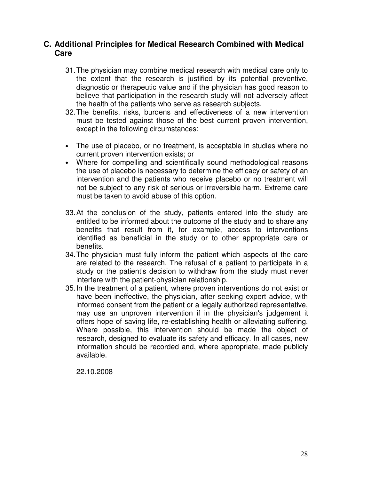#### **C. Additional Principles for Medical Research Combined with Medical Care**

- 31. The physician may combine medical research with medical care only to the extent that the research is justified by its potential preventive, diagnostic or therapeutic value and if the physician has good reason to believe that participation in the research study will not adversely affect the health of the patients who serve as research subjects.
- 32. The benefits, risks, burdens and effectiveness of a new intervention must be tested against those of the best current proven intervention, except in the following circumstances:
- The use of placebo, or no treatment, is acceptable in studies where no current proven intervention exists; or
- Where for compelling and scientifically sound methodological reasons the use of placebo is necessary to determine the efficacy or safety of an intervention and the patients who receive placebo or no treatment will not be subject to any risk of serious or irreversible harm. Extreme care must be taken to avoid abuse of this option.
- 33. At the conclusion of the study, patients entered into the study are entitled to be informed about the outcome of the study and to share any benefits that result from it, for example, access to interventions identified as beneficial in the study or to other appropriate care or benefits.
- 34. The physician must fully inform the patient which aspects of the care are related to the research. The refusal of a patient to participate in a study or the patient's decision to withdraw from the study must never interfere with the patient-physician relationship.
- 35. In the treatment of a patient, where proven interventions do not exist or have been ineffective, the physician, after seeking expert advice, with informed consent from the patient or a legally authorized representative, may use an unproven intervention if in the physician's judgement it offers hope of saving life, re-establishing health or alleviating suffering. Where possible, this intervention should be made the object of research, designed to evaluate its safety and efficacy. In all cases, new information should be recorded and, where appropriate, made publicly available.

22.10.2008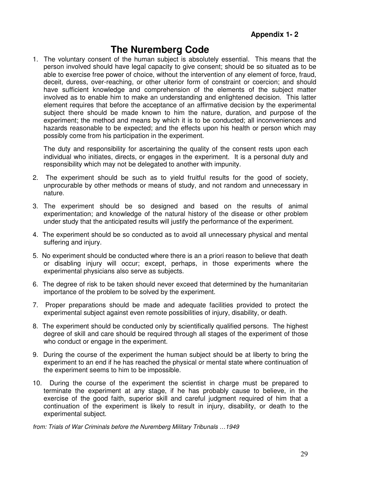## **The Nuremberg Code**

1. The voluntary consent of the human subject is absolutely essential. This means that the person involved should have legal capacity to give consent; should be so situated as to be able to exercise free power of choice, without the intervention of any element of force, fraud, deceit, duress, over-reaching, or other ulterior form of constraint or coercion; and should have sufficient knowledge and comprehension of the elements of the subject matter involved as to enable him to make an understanding and enlightened decision. This latter element requires that before the acceptance of an affirmative decision by the experimental subject there should be made known to him the nature, duration, and purpose of the experiment; the method and means by which it is to be conducted; all inconveniences and hazards reasonable to be expected; and the effects upon his health or person which may possibly come from his participation in the experiment.

The duty and responsibility for ascertaining the quality of the consent rests upon each individual who initiates, directs, or engages in the experiment. It is a personal duty and responsibility which may not be delegated to another with impunity.

- 2. The experiment should be such as to yield fruitful results for the good of society, unprocurable by other methods or means of study, and not random and unnecessary in nature.
- 3. The experiment should be so designed and based on the results of animal experimentation; and knowledge of the natural history of the disease or other problem under study that the anticipated results will justify the performance of the experiment.
- 4. The experiment should be so conducted as to avoid all unnecessary physical and mental suffering and injury.
- 5. No experiment should be conducted where there is an a priori reason to believe that death or disabling injury will occur; except, perhaps, in those experiments where the experimental physicians also serve as subjects.
- 6. The degree of risk to be taken should never exceed that determined by the humanitarian importance of the problem to be solved by the experiment.
- 7. Proper preparations should be made and adequate facilities provided to protect the experimental subject against even remote possibilities of injury, disability, or death.
- 8. The experiment should be conducted only by scientifically qualified persons. The highest degree of skill and care should be required through all stages of the experiment of those who conduct or engage in the experiment.
- 9. During the course of the experiment the human subject should be at liberty to bring the experiment to an end if he has reached the physical or mental state where continuation of the experiment seems to him to be impossible.
- 10. During the course of the experiment the scientist in charge must be prepared to terminate the experiment at any stage, if he has probably cause to believe, in the exercise of the good faith, superior skill and careful judgment required of him that a continuation of the experiment is likely to result in injury, disability, or death to the experimental subject.

from: Trials of War Criminals before the Nuremberg Military Tribunals …1949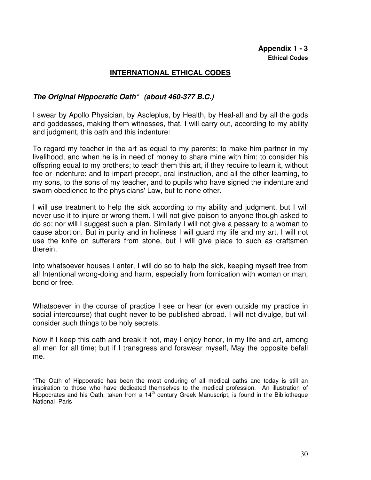#### **INTERNATIONAL ETHICAL CODES**

#### **The Original Hippocratic Oath\* (about 460-377 B.C.)**

I swear by Apollo Physician, by Ascleplus, by Health, by Heal-all and by all the gods and goddesses, making them witnesses, that. I will carry out, according to my ability and judgment, this oath and this indenture:

To regard my teacher in the art as equal to my parents; to make him partner in my livelihood, and when he is in need of money to share mine with him; to consider his offspring equal to my brothers; to teach them this art, if they require to learn it, without fee or indenture; and to impart precept, oral instruction, and all the other learning, to my sons, to the sons of my teacher, and to pupils who have signed the indenture and sworn obedience to the physicians' Law, but to none other.

I will use treatment to help the sick according to my ability and judgment, but I will never use it to injure or wrong them. I will not give poison to anyone though asked to do so; nor will I suggest such a plan. Similarly I will not give a pessary to a woman to cause abortion. But in purity and in holiness I will guard my life and my art. I will not use the knife on sufferers from stone, but I will give place to such as craftsmen therein.

Into whatsoever houses I enter, I will do so to help the sick, keeping myself free from all Intentional wrong-doing and harm, especially from fornication with woman or man, bond or free.

Whatsoever in the course of practice I see or hear (or even outside my practice in social intercourse) that ought never to be published abroad. I will not divulge, but will consider such things to be holy secrets.

Now if I keep this oath and break it not, may I enjoy honor, in my life and art, among all men for all time; but if I transgress and forswear myself, May the opposite befall me.

\*The Oath of Hippocratic has been the most enduring of all medical oaths and today is still an inspiration to those who have dedicated themselves to the medical profession. An illustration of Hippocrates and his Oath, taken from a 14<sup>th</sup> century Greek Manuscript, is found in the Bibliotheque National Paris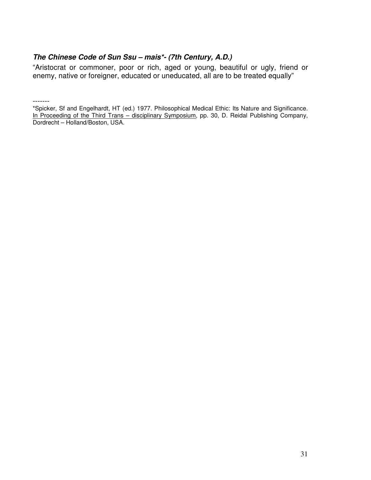#### **The Chinese Code of Sun Ssu – mais\*- (7th Century, A.D.)**

"Aristocrat or commoner, poor or rich, aged or young, beautiful or ugly, friend or enemy, native or foreigner, educated or uneducated, all are to be treated equally"

-------

<sup>\*</sup>Spicker, Sf and Engelhardt, HT (ed.) 1977. Philosophical Medical Ethic: Its Nature and Significance. In Proceeding of the Third Trans – disciplinary Symposium, pp. 30, D. Reidal Publishing Company, Dordrecht – Holland/Boston, USA.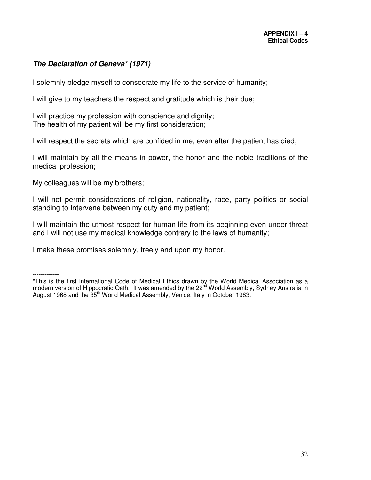#### **The Declaration of Geneva\* (1971)**

I solemnly pledge myself to consecrate my life to the service of humanity;

I will give to my teachers the respect and gratitude which is their due;

I will practice my profession with conscience and dignity; The health of my patient will be my first consideration;

I will respect the secrets which are confided in me, even after the patient has died;

I will maintain by all the means in power, the honor and the noble traditions of the medical profession;

My colleagues will be my brothers;

I will not permit considerations of religion, nationality, race, party politics or social standing to Intervene between my duty and my patient;

I will maintain the utmost respect for human life from its beginning even under threat and I will not use my medical knowledge contrary to the laws of humanity;

I make these promises solemnly, freely and upon my honor.

<sup>-------------</sup>  \*This is the first International Code of Medical Ethics drawn by the World Medical Association as a modern version of Hippocratic Oath. It was amended by the 22<sup>nd</sup> World Assembly, Sydney Australia in August 1968 and the 35<sup>th</sup> World Medical Assembly, Venice, Italy in October 1983.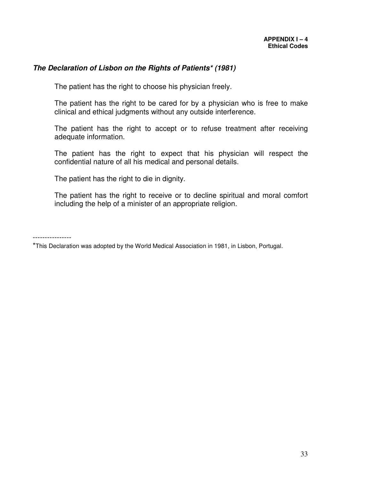#### **The Declaration of Lisbon on the Rights of Patients\* (1981)**

The patient has the right to choose his physician freely.

The patient has the right to be cared for by a physician who is free to make clinical and ethical judgments without any outside interference.

The patient has the right to accept or to refuse treatment after receiving adequate information.

The patient has the right to expect that his physician will respect the confidential nature of all his medical and personal details.

The patient has the right to die in dignity.

The patient has the right to receive or to decline spiritual and moral comfort including the help of a minister of an appropriate religion.

----------------

<sup>\*</sup>This Declaration was adopted by the World Medical Association in 1981, in Lisbon, Portugal.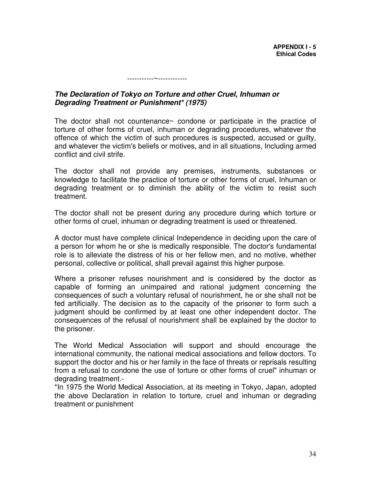-----------~------------

#### **The Declaration of Tokyo on Torture and other Cruel, Inhuman or Degrading Treatment or Punishment\* (1975)**

The doctor shall not countenance~ condone or participate in the practice of torture of other forms of cruel, inhuman or degrading procedures, whatever the offence of which the victim of such procedures is suspected, accused or guilty, and whatever the victim's beliefs or motives, and in all situations, Including armed conflict and civil strife.

The doctor shall not provide any premises, instruments, substances or knowledge to facilitate the practice of torture or other forms of cruel, Inhuman or degrading treatment or to diminish the ability of the victim to resist such treatment.

The doctor shall not be present during any procedure during which torture or other forms of cruel, inhuman or degrading treatment is used or threatened.

A doctor must have complete clinical Independence in deciding upon the care of a person for whom he or she is medically responsible. The doctor's fundamental role is to alleviate the distress of his or her fellow men, and no motive, whether personal, collective or political, shall prevail against this higher purpose.

Where a prisoner refuses nourishment and is considered by the doctor as capable of forming an unimpaired and rational judgment concerning the consequences of such a voluntary refusal of nourishment, he or she shall not be fed artificially. The decision as to the capacity of the prisoner to form such a judgment should be confirmed by at least one other independent doctor. The consequences of the refusal of nourishment shall be explained by the doctor to the prisoner.

The World Medical Association will support and should encourage the international community, the national medical associations and fellow doctors. To support the doctor and his or her family in the face of threats or reprisals resulting from a refusal to condone the use of torture or other forms of cruel" inhuman or degrading treatment.-

\*In 1975 the World Medical Association, at its meeting in Tokyo, Japan, adopted the above Declaration in relation to torture, cruel and inhuman or degrading treatment or punishment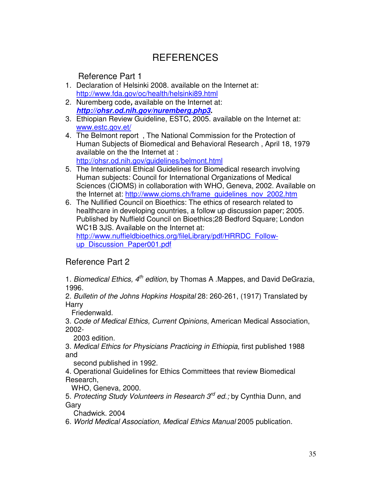## REFERENCES

Reference Part 1

- 1. Declaration of Helsinki 2008. available on the Internet at: http://www.fda.gov/oc/health/helsinki89.html
- 2. Nuremberg code**,** available on the Internet at: **http://ohsr.od.nih.gov/nuremberg.php3.**
- 3. Ethiopian Review Guideline, ESTC, 2005. available on the Internet at: www.estc.gov.et/
- 4. The Belmont report , The National Commission for the Protection of Human Subjects of Biomedical and Behavioral Research , April 18, 1979 available on the the Internet at : http://ohsr.od.nih.gov/guidelines/belmont.html
- 5. The International Ethical Guidelines for Biomedical research involving Human subjects: Council for International Organizations of Medical Sciences (CIOMS) in collaboration with WHO, Geneva, 2002. Available on the Internet at: http://www.cioms.ch/frame\_guidelines\_nov\_2002.htm
- 6. The Nullified Council on Bioethics: The ethics of research related to healthcare in developing countries, a follow up discussion paper; 2005. Published by Nuffield Council on Bioethics;28 Bedford Square; London WC1B 3JS. Available on the Internet at: http://www.nuffieldbioethics.org/fileLibrary/pdf/HRRDC\_Followup Discussion Paper001.pdf

Reference Part 2

1. Biomedical Ethics,  $4^{th}$  edition, by Thomas A . Mappes, and David DeGrazia, 1996.

2. Bulletin of the Johns Hopkins Hospital 28: 260-261, (1917) Translated by Harry

Friedenwald.

3. Code of Medical Ethics, Current Opinions, American Medical Association, 2002-

2003 edition.

3. Medical Ethics for Physicians Practicing in Ethiopia, first published 1988 and

second published in 1992.

4. Operational Guidelines for Ethics Committees that review Biomedical Research,

WHO, Geneva, 2000.

5. Protecting Study Volunteers in Research  $3^{rd}$  ed.; by Cynthia Dunn, and Gary

Chadwick. 2004

6. World Medical Association, Medical Ethics Manual 2005 publication.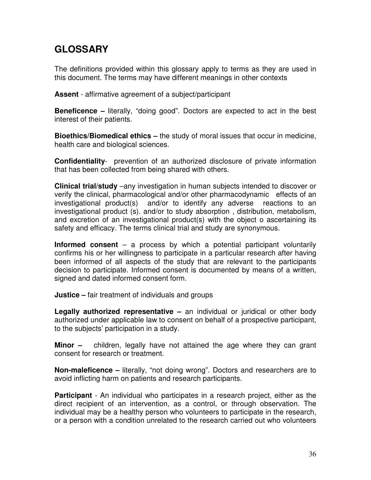## **GLOSSARY**

The definitions provided within this glossary apply to terms as they are used in this document. The terms may have different meanings in other contexts

**Assent** - affirmative agreement of a subject/participant

**Beneficence –** literally, "doing good". Doctors are expected to act in the best interest of their patients.

**Bioethics/Biomedical ethics –** the study of moral issues that occur in medicine, health care and biological sciences.

**Confidentiality**- prevention of an authorized disclosure of private information that has been collected from being shared with others.

**Clinical trial/study** –any investigation in human subjects intended to discover or verify the clinical, pharmacological and/or other pharmacodynamic effects of an investigational product(s) and/or to identify any adverse reactions to an investigational product (s). and/or to study absorption , distribution, metabolism, and excretion of an investigational product(s) with the object o ascertaining its safety and efficacy. The terms clinical trial and study are synonymous.

**Informed consent** – a process by which a potential participant voluntarily confirms his or her willingness to participate in a particular research after having been informed of all aspects of the study that are relevant to the participants decision to participate. Informed consent is documented by means of a written, signed and dated informed consent form.

**Justice –** fair treatment of individuals and groups

**Legally authorized representative –** an individual or juridical or other body authorized under applicable law to consent on behalf of a prospective participant, to the subjects' participation in a study.

**Minor –** children, legally have not attained the age where they can grant consent for research or treatment.

**Non-maleficence –** literally, "not doing wrong". Doctors and researchers are to avoid inflicting harm on patients and research participants.

**Participant** - An individual who participates in a research project, either as the direct recipient of an intervention, as a control, or through observation. The individual may be a healthy person who volunteers to participate in the research, or a person with a condition unrelated to the research carried out who volunteers